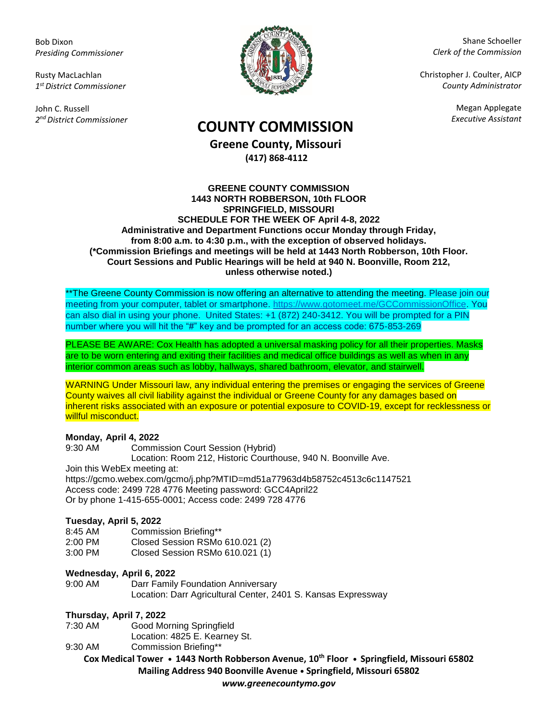Bob Dixon *Presiding Commissioner*

Rusty MacLachlan *1 st District Commissioner*

John C. Russell *2 nd District Commissioner*



Shane Schoeller *Clerk of the Commission*

Christopher J. Coulter, AICP *County Administrator*

Megan Applegate

# *Executive Assistant* **COUNTY COMMISSION**

**Greene County, Missouri (417) 868-4112**

#### **GREENE COUNTY COMMISSION 1443 NORTH ROBBERSON, 10th FLOOR SPRINGFIELD, MISSOURI SCHEDULE FOR THE WEEK OF April 4-8, 2022 Administrative and Department Functions occur Monday through Friday, from 8:00 a.m. to 4:30 p.m., with the exception of observed holidays. (\*Commission Briefings and meetings will be held at 1443 North Robberson, 10th Floor. Court Sessions and Public Hearings will be held at 940 N. Boonville, Room 212, unless otherwise noted.)**

\*\*The Greene County Commission is now offering an alternative to attending the meeting. Please join our meeting from your computer, tablet or smartphone. [https://www.gotomeet.me/GCCommissionOffice.](https://www.gotomeet.me/GCCommissionOffice) You can also dial in using your phone. United States: +1 (872) 240-3412. You will be prompted for a PIN number where you will hit the "#" key and be prompted for an access code: 675-853-269

PLEASE BE AWARE: Cox Health has adopted a universal masking policy for all their properties. Masks are to be worn entering and exiting their facilities and medical office buildings as well as when in any interior common areas such as lobby, hallways, shared bathroom, elevator, and stairwell.

WARNING Under Missouri law, any individual entering the premises or engaging the services of Greene County waives all civil liability against the individual or Greene County for any damages based on inherent risks associated with an exposure or potential exposure to COVID-19, except for recklessness or willful misconduct.

## **Monday, April 4, 2022**

9:30 AM Commission Court Session (Hybrid) Location: Room 212, Historic Courthouse, 940 N. Boonville Ave. Join this WebEx meeting at:

https://gcmo.webex.com/gcmo/j.php?MTID=md51a77963d4b58752c4513c6c1147521 Access code: 2499 728 4776 Meeting password: GCC4April22 Or by phone 1-415-655-0001; Access code: 2499 728 4776

## **Tuesday, April 5, 2022**

8:45 AM Commission Briefing\*\*

2:00 PM Closed Session RSMo 610.021 (2)

3:00 PM Closed Session RSMo 610.021 (1)

## **Wednesday, April 6, 2022**

9:00 AM Darr Family Foundation Anniversary Location: Darr Agricultural Center, 2401 S. Kansas Expressway

## **Thursday, April 7, 2022**

7:30 AM Good Morning Springfield Location: 4825 E. Kearney St.

9:30 AM Commission Briefing\*\*

**Cox Medical Tower • 1443 North Robberson Avenue, 10th Floor • Springfield, Missouri 65802 Mailing Address 940 Boonville Avenue • Springfield, Missouri 65802**

*www.greenecountymo.gov*